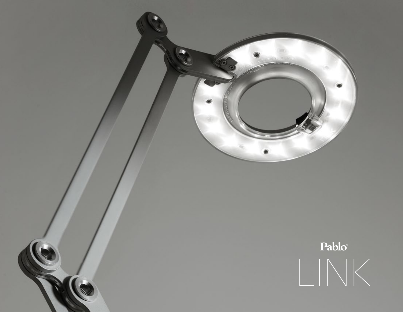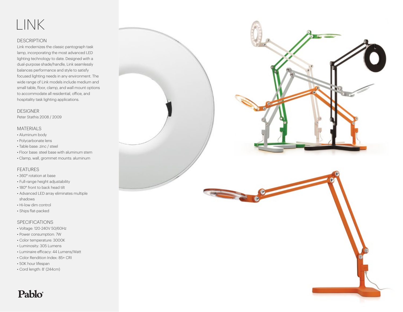# LINK

#### DESCRIPTION

Link modernizes the classic pantograph task lamp, incorporating the most advanced LED lighting technology to date. Designed with a dual-purpose shade/handle, Link seamlessly balances performance and style to satisfy focused lighting needs in any environment. The wide range of Link models include medium and small table, floor, clamp, and wall mount options to accommodate all residential, office, and hospitality task lighting applications.

#### DESIGNER

Peter Stathis 2008 / 2009

#### MATERIALS

- Aluminum body
- Polycarbonate lens
- Table base: zinc / steel
- Floor base: steel base with aluminum stem
- Clamp, wall, grommet mounts: aluminum

#### FEATURES

- 360° rotation at base
- Full-range height adjustability
- 180° front to back head tilt
- Advanced LED array eliminates multiple shadows
- Hi-low dim control
- Ships flat-packed

#### SPECIFICATIONS

- Voltage: 120-240V 50/60Hz
- Power consumption: 7W
- Color temperature: 3000K
- Luminosity: 305 Lumens
- Luminaire efficacy: 44 Lumens/Watt
- Color Rendition Index: 85+ CRI
- 50K hour lifespan

Pablo®

• Cord length: 8' (244cm)